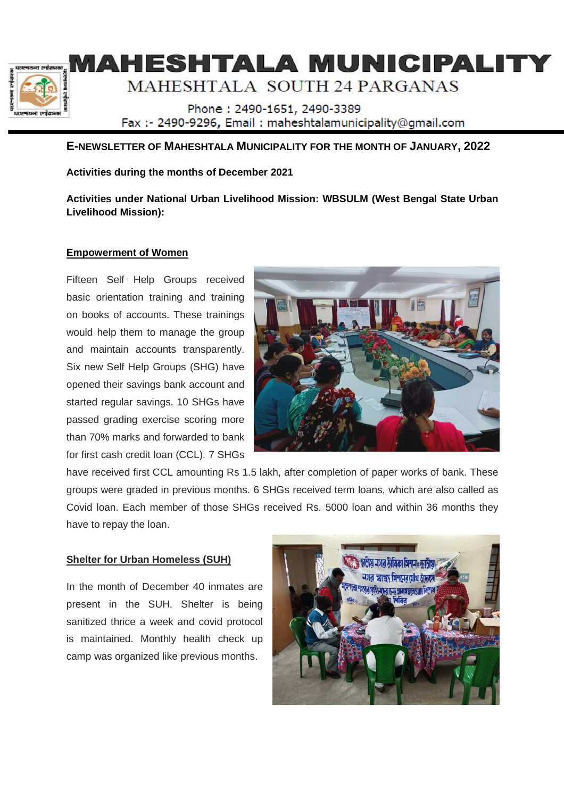

# HESHTALA MUNICIPALIT

# MAHESHTALA SOUTH 24 PARGANAS

Phone: 2490-1651, 2490-3389 Fax: - 2490-9296, Email: maheshtalamunicipality@gmail.com

# **E-NEWSLETTER OF MAHESHTALA MUNICIPALITY FOR THE MONTH OF JANUARY, 2022**

**Activities during the months of December 2021** 

**Activities under National Urban Livelihood Mission: WBSULM (West Bengal State Urban Livelihood Mission):** 

# **Empowerment of Women**

Fifteen Self Help Groups received basic orientation training and training on books of accounts. These trainings would help them to manage the group and maintain accounts transparently. Six new Self Help Groups (SHG) have opened their savings bank account and started regular savings. 10 SHGs have passed grading exercise scoring more than 70% marks and forwarded to bank for first cash credit loan (CCL). 7 SHGs



have received first CCL amounting Rs 1.5 lakh, after completion of paper works of bank. These groups were graded in previous months. 6 SHGs received term loans, which are also called as Covid loan. Each member of those SHGs received Rs. 5000 loan and within 36 months they have to repay the loan.

# **Shelter for Urban Homeless (SUH)**

In the month of December 40 inmates are present in the SUH. Shelter is being sanitized thrice a week and covid protocol is maintained. Monthly health check up camp was organized like previous months.

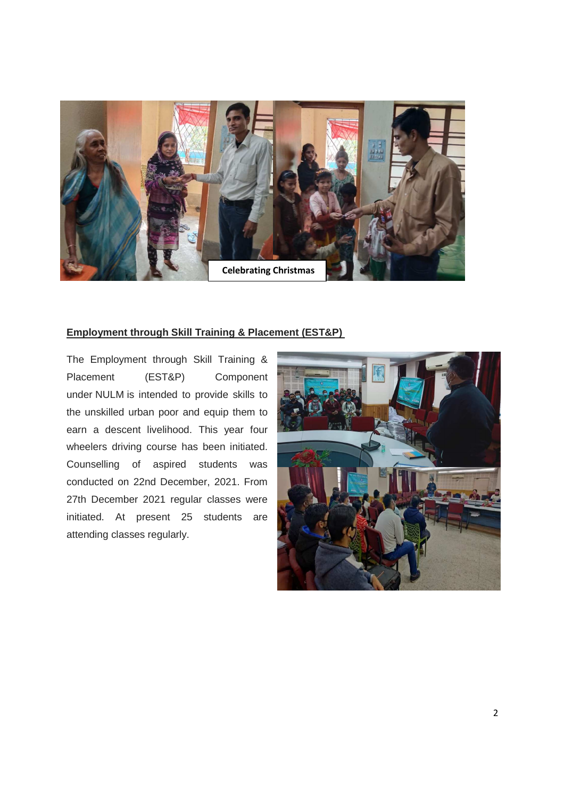

#### **Employment through Skill Training & Placement (EST&P)**

The Employment through Skill Training & Placement (EST&P) Component under NULM is intended to provide skills to the unskilled urban poor and equip them to earn a descent livelihood. This year four wheelers driving course has been initiated. Counselling of aspired students was conducted on 22nd December, 2021. From 27th December 2021 regular classes were initiated. At present 25 students are attending classes regularly.

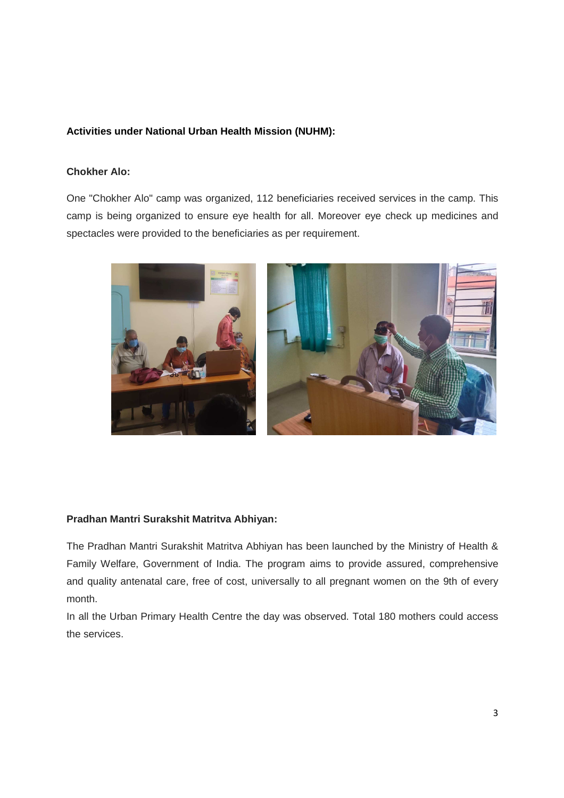# **Activities under National Urban Health Mission (NUHM):**

#### **Chokher Alo:**

One "Chokher Alo" camp was organized, 112 beneficiaries received services in the camp. This camp is being organized to ensure eye health for all. Moreover eye check up medicines and spectacles were provided to the beneficiaries as per requirement.



# **Pradhan Mantri Surakshit Matritva Abhiyan:**

The Pradhan Mantri Surakshit Matritva Abhiyan has been launched by the Ministry of Health & Family Welfare, Government of India. The program aims to provide assured, comprehensive and quality antenatal care, free of cost, universally to all pregnant women on the 9th of every month.

In all the Urban Primary Health Centre the day was observed. Total 180 mothers could access the services.